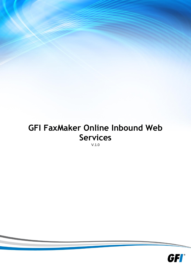# **GFI FaxMaker Online Inbound Web Services**

V.1.0

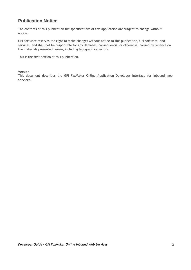## **Publication Notice**

The contents of this publication the specifications of this application are subject to change without notice.

GFI Software reserves the right to make changes without notice to this publication, GFI software, and services, and shall not be responsible for any damages, consequential or otherwise, caused by reliance on the materials presented herein, including typographical errors.

This is the first edition of this publication.

#### **Version**

This document describes the GFI FaxMaker Online Application Developer Interface for inbound web **services.**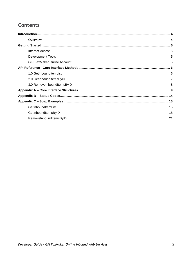## **Contents**

| Overview                           | 4              |
|------------------------------------|----------------|
|                                    | 5              |
| <b>Internet Access</b>             | 5              |
| <b>Development Tools</b>           | 5              |
| <b>GFI FaxMaker Online Account</b> | 5              |
|                                    |                |
| 1.0 GetInboundItemList             | 6              |
| 2.0 GetInboundItemsByID            | $\overline{7}$ |
| 3.0 RemoveInboundItemsByID         | 8              |
|                                    |                |
|                                    |                |
|                                    |                |
| GetInboundItemList                 | 15             |
| GetInboundItemsByID                | 18             |
| RemoveInboundItemsByID             | 21             |
|                                    |                |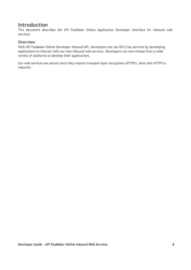## <span id="page-3-0"></span>**Introduction**

This document describes the GFI FaxMaker Online Application Developer Interface for inbound web services.

## <span id="page-3-1"></span>**Overview**

With GFI FaxMaker Online Developer Inbound API, developers can use GFI's fax services by developing applications to interact with our new inbound web services. Developers can now choose from a wide variety of platforms to develop their applications.

Our web services are secure since they require transport layer encryption (HTTPS). Note that HTTPS is required.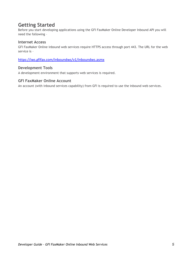## <span id="page-4-0"></span>**Getting Started**

Before you start developing applications using the GFI FaxMaker Online Developer Inbound API you will need the following –

### <span id="page-4-1"></span>**Internet Access**

GFI FaxMaker Online inbound web services require HTTPS access through port 443. The URL for the web service is –

<https://iws.gfifax.com/inboundws/v1/inboundws.asmx>

### <span id="page-4-2"></span>**Development Tools**

A development environment that supports web services is required.

## <span id="page-4-3"></span>**GFI FaxMaker Online Account**

An account (with inbound services capability) from GFI is required to use the inbound web services.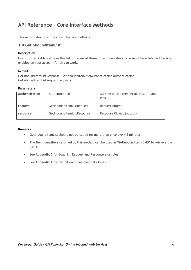## <span id="page-5-0"></span>**API Reference - Core Interface Methods**

This section describes the core interface methods.

## <span id="page-5-1"></span>**1.0 GetInboundItemList**

#### **Description**

Use this method to retrieve the list of received Items. (Item identifiers) You must have Inbound Services enabled on your account for this to work.

#### **Syntax**

GetInboundItemListResponse GetInboundItemList(Authentication authentication, GetInboundItemListRequest request)

#### **Parameters**

| authentication | Authentication             | Authentication credentials (User id and<br>PIN) |
|----------------|----------------------------|-------------------------------------------------|
| request        | GetInboundItemListRequest  | Request object.                                 |
| response       | GetInboundItemListResponse | Response Object (output)                        |

#### **Remarks**

- GetInboundItemList should not be called for more than once every 5 minutes.
- The Item identifiers returned by this method can be used in 'GetInboundItemsByID' to retrieve the Items.
- See Appendix C for Soap 1.1 Request and Response examples
- See **Appendix A** for definition of complex data types.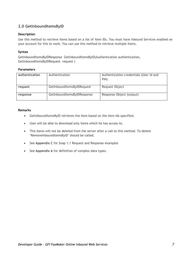## <span id="page-6-0"></span>**2.0 GetInboundItemsByID**

### **Description**

Use this method to retrieve Items based on a list of Item IDs. You must have Inbound Services enabled on your account for this to work. You can use this method to retrieve multiple Items.

### **Syntax**

GetInboundItemsByIDResponse GetInboundItemsByID(Authentication authentication, GetInboundItemsByIDRequest request )

### **Parameters**

| authentication | Authentication              | Authentication credentials (User id and<br>PIN) |
|----------------|-----------------------------|-------------------------------------------------|
| request        | GetInboundItemsByIDRequest  | Request Object                                  |
| response       | GetInboundItemsByIDResponse | Response Object (output)                        |

#### **Remarks**

- GetInboundItemsByID retrieves the Item based on the item ids specified.
- User will be able to download only items which he has access to.
- This items will not be deleted from the server after a call to this method. To delete 'RemoveInboundItemsByID' should be called.
- **•** See Appendix C for Soap 1.1 Request and Response examples
- See Appendix A for definition of complex data types.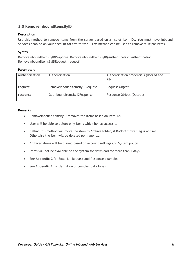## <span id="page-7-0"></span>**3.0 RemoveInboundItemsByID**

#### **Description**

Use this method to remove Items from the server based on a list of Item IDs. You must have Inbound Services enabled on your account for this to work. This method can be used to remove multiple Items.

#### **Syntax**

RemoveInboundItemsByIDResponse RemoveInboundItemsByID(Authentication authentication, RemoveInboundItemsByIDRequest request)

#### **Parameters**

| authentication | Authentication                | Authentication credentials (User id and<br>PIN) |
|----------------|-------------------------------|-------------------------------------------------|
| request        | RemoveInboundItemsByIDRequest | Request Object                                  |
| response       | GetInboundItemsByIDResponse   | Response Object (Output)                        |

#### **Remarks**

- RemoveInboundItemsByID removes the Items based on item IDs.
- User will be able to delete only items which he has access to.
- Calling this method will move the item to Archive folder, if DoNotArchive flag is not set. Otherwise the item will be deleted permanently.
- Archived items will be purged based on Account settings and System policy.
- Items will not be available on the system for download for more than 7 days.
- **•** See Appendix C for Soap 1.1 Request and Response examples
- See **Appendix A** for definition of complex data types.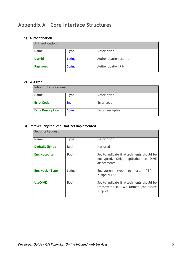## <span id="page-8-0"></span>**Appendix A – Core Interface Structures**

#### **1) Authentication**

| Authentication |               |                           |
|----------------|---------------|---------------------------|
| <b>Name</b>    | Type          | <b>Description</b>        |
| <b>UserId</b>  | <b>String</b> | Authentication user id    |
| Password       | <b>String</b> | <b>Authentication PIN</b> |

## **2) WSError**

| InboundItemsRequest     |               |                    |
|-------------------------|---------------|--------------------|
| <b>Name</b>             | Type          | <b>Description</b> |
| <b>ErrorCode</b>        | Int           | Error code         |
| <b>ErrorDescription</b> | <b>String</b> | Error description. |

## **3) ItemSecurityRequest – Not Yet Implemented**

| <b>SecurityRequest</b> |               |                                                                                                |
|------------------------|---------------|------------------------------------------------------------------------------------------------|
| <b>Name</b>            | <b>Type</b>   | <b>Description</b>                                                                             |
| <b>DigitallySigned</b> | <b>Bool</b>   | Not used                                                                                       |
| <b>EncryptedItem</b>   | <b>Bool</b>   | Set to indicate if attachments should be<br>encrypted. Only applicable to DIME<br>attachments. |
| <b>EncryptionType</b>  | <b>String</b> | "丁"<br>Encryption<br>type<br>to<br>use.<br>"TrippleDES"                                        |
| <b>UseDIME</b>         | <b>Bool</b>   | Set to indicate if attachments should be<br>transmitted in DIME format (for future<br>support) |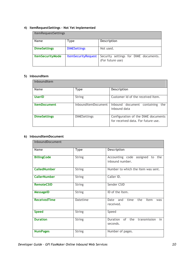## **4) ItemRequestSettings – Not Yet Implemented**

| <b>ItemRequestSettings</b> |                            |                                                           |
|----------------------------|----------------------------|-----------------------------------------------------------|
| <b>Name</b>                | <b>Type</b>                | <b>Description</b>                                        |
| <b>DimeSettings</b>        | <b>DIMESettings</b>        | Not used.                                                 |
| <b>ItemSecurityMode</b>    | <b>ItemSecurityRequest</b> | Security settings for DIME documents.<br>(For future use) |

## **5) InboundItem**

| InboundItem         |                     |                                                                           |
|---------------------|---------------------|---------------------------------------------------------------------------|
| <b>Name</b>         | <b>Type</b>         | <b>Description</b>                                                        |
| <b>UserID</b>       | String              | Customer Id of the received Item.                                         |
| <b>ItemDocument</b> | InboundItemDocument | Inbound document containing<br>the<br>inbound data                        |
| <b>DimeSettings</b> | <b>DIMESettings</b> | Configuration of the DIME documents<br>for received data. For future use. |

#### **6) InboundItemDocument**

| InboundDocument     |                 |                                                     |
|---------------------|-----------------|-----------------------------------------------------|
| Name                | <b>Type</b>     | <b>Description</b>                                  |
| <b>BillingCode</b>  | <b>String</b>   | Accounting code assigned to the<br>inbound number.  |
| <b>CalledNumber</b> | <b>String</b>   | Number to which the Item was sent.                  |
| <b>CallerNumber</b> | <b>String</b>   | Caller ID.                                          |
| <b>RemoteCSID</b>   | <b>String</b>   | Sender CSID                                         |
| <b>MessageID</b>    | <b>String</b>   | ID of the Item.                                     |
| <b>ReceivedTime</b> | <b>Datetime</b> | time<br>the<br>Date and<br>Item<br>was<br>received. |
| <b>Speed</b>        | <b>String</b>   | Speed                                               |
| <b>Duration</b>     | <b>String</b>   | Duration of the<br>transmission<br>in<br>seconds.   |
| <b>NumPages</b>     | <b>String</b>   | Number of pages.                                    |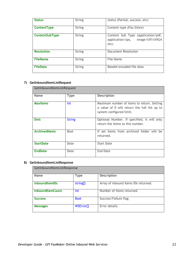| <b>Status</b>     | <b>String</b> | status (Partial, success, etc)                                                      |
|-------------------|---------------|-------------------------------------------------------------------------------------|
|                   |               |                                                                                     |
| ContentType       | <b>String</b> | Content type (Fax, Voice)                                                           |
| ContentSubType    | String        | Content Sub Type (application/pdf,<br>image/tiff/tiffG4<br>application/xps,<br>etc) |
| <b>Resolution</b> | String        | Document Resolution                                                                 |
| <b>FileName</b>   | String        | File Name                                                                           |
| <b>FileData</b>   | <b>String</b> | Base64 encoded file data                                                            |

## **7) GetInboundItemListRequest**

| GetInboundItemListRequest |               |                                                                                                                        |
|---------------------------|---------------|------------------------------------------------------------------------------------------------------------------------|
| <b>Name</b>               | Type          | <b>Description</b>                                                                                                     |
| <b>MaxItems</b>           | Int           | Maximum number of items to return. Setting<br>a value of 0 will return the full list up to<br>system configured limit. |
| <b>Dnis</b>               | <b>String</b> | Optional Number. If specified, it will only<br>return the Items to this number.                                        |
| <b>ArchivedItems</b>      | Bool          | If set Items from archived folder will be<br>returned.                                                                 |
| <b>StartDate</b>          | Date          | <b>Start Date</b>                                                                                                      |
| <b>EndDate</b>            | Date          | End Date                                                                                                               |

## **8) GetInboundItemListResponse**

| GetInboundItemListResponse |                       |                                      |
|----------------------------|-----------------------|--------------------------------------|
| <b>Name</b>                | <b>Type</b>           | <b>Description</b>                   |
| <b>InboundItemIDs</b>      | string <sup>[]</sup>  | Array of inbound Items IDs returned. |
| <b>InboundItemCount</b>    | Int                   | Number of Items returned.            |
| <b>Success</b>             | <b>Bool</b>           | Success/Failure flag                 |
| <b>Messages</b>            | WSError <sup>[]</sup> | Error details                        |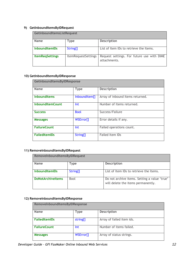## **9) GetInboundItemsByIDRequest**

| GetInboundItemsListRequest |                            |                                                            |
|----------------------------|----------------------------|------------------------------------------------------------|
| <b>Name</b>                | <b>Type</b>                | <b>Description</b>                                         |
| <b>InboundItemIDs</b>      | String <sup>[]</sup>       | List of Item IDs to retrieve the Items.                    |
| <b>ItemRegSettings</b>     | <b>ItemRequestSettings</b> | Request settings. For future use with DIME<br>attachments. |

## **10) GetInboundItemsByIDResponse**

| GetInboundItemsByIDResponse |                       |                                  |
|-----------------------------|-----------------------|----------------------------------|
| Name                        | <b>Type</b>           | <b>Description</b>               |
| <b>InboundItems</b>         | InboundItem[]         | Array of inbound Items returned. |
| <b>InboundItemCount</b>     | Int                   | Number of Items returned.        |
| <b>Success</b>              | <b>Bool</b>           | Success/Failure                  |
| <b>Messages</b>             | WSError <sup>[]</sup> | Error details if any.            |
| <b>FailureCount</b>         | Int                   | Failed operations count.         |
| <b>FailedItemIDs</b>        | String[]              | <b>Failed Item IDs</b>           |

#### **11) RemoveInboundItemsByIDRequest**

| RemoveInboundItemsByIDRequest |                      |                                                                                    |
|-------------------------------|----------------------|------------------------------------------------------------------------------------|
| <b>Name</b>                   | Type                 | <b>Description</b>                                                                 |
| <b>InboundItemIDs</b>         | String <sup>[]</sup> | List of Item IDs to retrieve the Items.                                            |
| <b>DoNotArchiveltems</b>      | <b>Bool</b>          | Do not archive items. Setting a value 'true'<br>will delete the items permanently. |

## **12) RemoveInboundItemsByIDResponse**

| RemoveInboundItemsByIDResponse |                       |                           |
|--------------------------------|-----------------------|---------------------------|
| <b>Name</b>                    | <b>Type</b>           | <b>Description</b>        |
| <b>FailedItemIDs</b>           | string[]              | Array of failed item ids. |
| <b>FailureCount</b>            | Int                   | Number of items failed.   |
| <b>Messages</b>                | WSError <sup>[]</sup> | Array of status strings.  |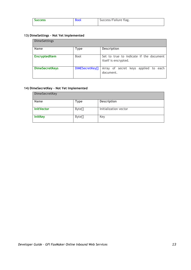| <b>Success</b> | <b>Bool</b> | Success/Failure flag. |
|----------------|-------------|-----------------------|
|                |             |                       |

## **13) DimeSettings – Not Yet Implemented**

| <b>DimeSettings</b>   |                 |                                                                 |
|-----------------------|-----------------|-----------------------------------------------------------------|
| <b>Name</b>           | <b>Type</b>     | <b>Description</b>                                              |
| <b>EncryptedItem</b>  | <b>Bool</b>     | Set to true to indicate if the document<br>itself is encrypted. |
| <b>DimeSecretKeys</b> | DIMESecretKey[] | Array of secret keys applied to each<br>document.               |

## **14) DimeSecretKey – Not Yet Implemented**

| <b>DimeSecretKey</b> |             |                       |
|----------------------|-------------|-----------------------|
| Name                 | <b>Type</b> | <b>Description</b>    |
| <b>InitVector</b>    | Byte[]      | Initialization vector |
| <b>InitKey</b>       | Byte[]      | Key                   |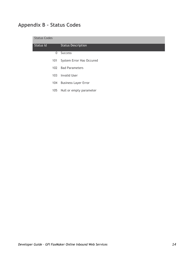## <span id="page-13-0"></span>**Appendix B – Status Codes**

| <b>Status Codes</b> |                             |
|---------------------|-----------------------------|
| Status Id           | <b>Status Description</b>   |
| 0                   | <b>Success</b>              |
| 101                 | System Error Has Occured    |
| 102                 | <b>Bad Parameters</b>       |
| 103 <sub>1</sub>    | Invalid User                |
| 104                 | <b>Business Layer Error</b> |
| 105                 | Null or empty parameter     |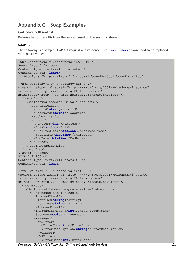## <span id="page-14-0"></span>**Appendix C – Soap Examples**

## <span id="page-14-1"></span>**GetInboundItemList**

Retreive list of Item IDs from the server based on the search criteria

### **SOAP 1.1**

The following is a sample SOAP 1.1 request and response. The **placeholders** shown need to be replaced with actual values.

```
POST /inboundws/v1/inboundws.asmx HTTP/1.1
Host: iws.gfifax.com
Content-Type: text/xml; charset=utf-8
Content-Length: length
SOAPAction: "https://iws.gfifax.com/InboundWS/GetInboundItemList"
<?xml version="1.0" encoding="utf-8"?>
<soap:Envelope xmlns:xsi="http://www.w3.org/2001/XMLSchema-instance" 
xmlns:xsd="http://www.w3.org/2001/XMLSchema" 
xmlns:soap="http://schemas.xmlsoap.org/soap/envelope/">
   <soap:Body>
     <GetInboundItemList xmlns="InboundWS">
       <authentication>
         <UserId>string</UserId>
         <Password>string</Password>
       </authentication>
       <request>
         <MaxItems>int</MaxItems>
         <Dnis>string</Dnis>
         <ArchivedItems>boolean</ArchivedItems>
         <StartDate>dateTime</StartDate>
         <EndDate>dateTime</EndDate>
      \langle request>
     </GetInboundItemList>
   </soap:Body>
</soap:Envelope>
HTTP/1.1 200 OK
Content-Type: text/xml; charset=utf-8
Content-Length: length
<?xml version="1.0" encoding="utf-8"?>
<soap:Envelope xmlns:xsi="http://www.w3.org/2001/XMLSchema-instance" 
xmlns:xsd="http://www.w3.org/2001/XMLSchema" 
xmlns:soap="http://schemas.xmlsoap.org/soap/envelope/">
   <soap:Body>
     <GetInboundItemListResponse xmlns="InboundWS">
       <GetInboundItemListResult>
         <InboundItemIDs>
          <string>string</string>
          <string>string</string>
         </InboundItemIDs>
         <InboundItemCount>int</InboundItemCount>
         <Success>boolean</Success>
         <Messages>
           <WSError>
             <ErrorCode>int</ErrorCode>
             <ErrorDescription>string</ErrorDescription>
           </WSError>
           <WSError>
             <ErrorCode>int</ErrorCode>
```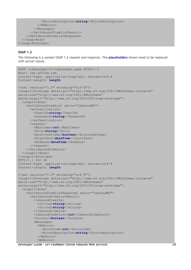```
 <ErrorDescription>string</ErrorDescription>
           </WSError>
         </Messages>
       </GetInboundItemListResult>
     </GetInboundItemListResponse>
   </soap:Body>
</soap:Envelope>
```
#### **SOAP 1.2**

The following is a sample SOAP 1.2 request and response. The **placeholders** shown need to be replaced with actual values.

```
POST /inboundws/v1/inboundws.asmx HTTP/1.1
Host: iws.gfifax.com
Content-Type: application/soap+xml; charset=utf-8
Content-Length: length
<?xml version="1.0" encoding="utf-8"?>
<soap12:Envelope xmlns:xsi="http://www.w3.org/2001/XMLSchema-instance" 
xmlns:xsd="http://www.w3.org/2001/XMLSchema" 
xmlns:soap12="http://www.w3.org/2003/05/soap-envelope">
   <soap12:Body>
     <GetInboundItemList xmlns="InboundWS">
       <authentication>
         <UserId>string</UserId>
         <Password>string</Password>
       </authentication>
       <request>
         <MaxItems>int</MaxItems>
         <Dnis>string</Dnis>
         <ArchivedItems>boolean</ArchivedItems>
         <StartDate>dateTime</StartDate>
         <EndDate>dateTime</EndDate>
      \langlerequest>
     </GetInboundItemList>
   </soap12:Body>
</soap12:Envelope>
HTTP/1.1 200 OK
Content-Type: application/soap+xml; charset=utf-8
Content-Length: length
<?xml version="1.0" encoding="utf-8"?>
<soap12:Envelope xmlns:xsi="http://www.w3.org/2001/XMLSchema-instance" 
xmlns:xsd="http://www.w3.org/2001/XMLSchema" 
xmlns:soap12="http://www.w3.org/2003/05/soap-envelope">
   <soap12:Body>
     <GetInboundItemListResponse xmlns="InboundWS">
       <GetInboundItemListResult>
         <InboundItemIDs>
          <string>string</string>
           <string>string</string>
         </InboundItemIDs>
         <InboundItemCount>int</InboundItemCount>
         <Success>boolean</Success>
         <Messages>
           <WSError>
             <ErrorCode>int</ErrorCode>
             <ErrorDescription>string</ErrorDescription>
           </WSError>
           <WSError>
```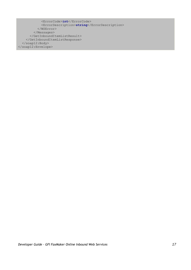<ErrorCode>**int**</ErrorCode> <ErrorDescription>**string**</ErrorDescription> </WSError> </Messages> </GetInboundItemListResult> </GetInboundItemListResponse> </soap12:Body> </soap12:Envelope>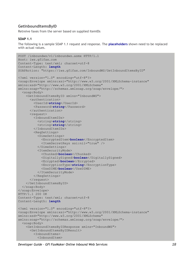## <span id="page-17-0"></span>**GetInboundItemsByID**

Retreive faxes from the server based on supplied ItemIDs

#### **SOAP 1.1**

The following is a sample SOAP 1.1 request and response. The **placeholders** shown need to be replaced with actual values.

```
POST /inboundws/v1/inboundws.asmx HTTP/1.1
Host: iws.gfifax.com
Content-Type: text/xml; charset=utf-8
Content-Length: length
SOAPAction: "https://iws.gfifax.com/InboundWS/GetInboundItemsByID"
<?xml version="1.0" encoding="utf-8"?>
<soap:Envelope xmlns:xsi="http://www.w3.org/2001/XMLSchema-instance" 
xmlns:xsd="http://www.w3.org/2001/XMLSchema" 
xmlns:soap="http://schemas.xmlsoap.org/soap/envelope/">
   <soap:Body>
     <GetInboundItemsByID xmlns="InboundWS">
       <authentication>
         <UserId>string</UserId>
         <Password>string</Password>
       </authentication>
       <request>
         <InboundItemIDs>
          <string>string</string>
          <string>string</string>
         </InboundItemIDs>
         <ReqSettings>
           <DimeSettings>
             <EncryptedItem>boolean</EncryptedItem>
             <ItemSecretKeys xsi:nil="true" />
           </DimeSettings>
           <ItemSecurityMode>
             <Chunked>boolean</Chunked>
             <DigitallySigned>boolean</DigitallySigned>
             <Ecrypted>boolean</Ecrypted>
             <EncryptionType>string</EncryptionType>
             <UseDIME>boolean</UseDIME>
           </ItemSecurityMode>
         </ReqSettings>
      \langle request>
     </GetInboundItemsByID>
  </soap:Body>
</soap:Envelope>
HTTP/1.1 200 OK
Content-Type: text/xml; charset=utf-8
Content-Length: length
<?xml version="1.0" encoding="utf-8"?>
<soap:Envelope xmlns:xsi="http://www.w3.org/2001/XMLSchema-instance" 
xmlns:xsd="http://www.w3.org/2001/XMLSchema" 
xmlns:soap="http://schemas.xmlsoap.org/soap/envelope/">
   <soap:Body>
     <GetInboundItemsByIDResponse xmlns="InboundWS">
       <GetInboundItemsByIDResult>
         <InboundItems>
           <InboundItem>
```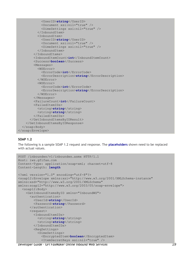```
 <UserID>string</UserID>
             <Document xsi:nil="true" />
             <DimeSettings xsi:nil="true" />
           </InboundItem>
           <InboundItem>
             <UserID>string</UserID>
             <Document xsi:nil="true" />
             <DimeSettings xsi:nil="true" />
           </InboundItem>
         </InboundItems>
         <InboundItemCount>int</InboundItemCount>
         <Success>boolean</Success>
         <Messages>
           <WSError>
             <ErrorCode>int</ErrorCode>
             <ErrorDescription>string</ErrorDescription>
           </WSError>
           <WSError>
             <ErrorCode>int</ErrorCode>
             <ErrorDescription>string</ErrorDescription>
           </WSError>
         </Messages>
         <FailureCount>int</FailureCount>
         <FailedItemIDs>
           <string>string</string>
          <string>string</string>
         </FailedItemIDs>
       </GetInboundItemsByIDResult>
     </GetInboundItemsByIDResponse>
   </soap:Body>
</soap:Envelope>
```
### **SOAP 1.2**

The following is a sample SOAP 1.2 request and response. The **placeholders** shown need to be replaced with actual values.

```
Developer Guide – GFI FaxMaker Online Inbound Web Services 19
POST /inboundws/v1/inboundws.asmx HTTP/1.1
Host: iws.gfifax.com
Content-Type: application/soap+xml; charset=utf-8
Content-Length: length
<?xml version="1.0" encoding="utf-8"?>
<soap12:Envelope xmlns:xsi="http://www.w3.org/2001/XMLSchema-instance" 
xmlns:xsd="http://www.w3.org/2001/XMLSchema" 
xmlns:soap12="http://www.w3.org/2003/05/soap-envelope">
   <soap12:Body>
     <GetInboundItemsByID xmlns="InboundWS">
       <authentication>
         <UserId>string</UserId>
         <Password>string</Password>
       </authentication>
       <request>
         <InboundItemIDs>
          <string>string</string>
          <string>string</string>
         </InboundItemIDs>
         <ReqSettings>
           <DimeSettings>
             <EncryptedItem>boolean</EncryptedItem>
             <ItemSecretKeys xsi:nil="true" />
```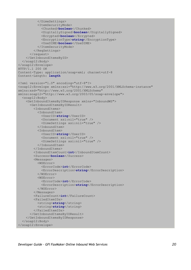```
 </DimeSettings>
           <ItemSecurityMode>
             <Chunked>boolean</Chunked>
             <DigitallySigned>boolean</DigitallySigned>
             <Ecrypted>boolean</Ecrypted>
             <EncryptionType>string</EncryptionType>
             <UseDIME>boolean</UseDIME>
           </ItemSecurityMode>
         </ReqSettings>
      \langle request>
     </GetInboundItemsByID>
   </soap12:Body>
</soap12:Envelope>
HTTP/1.1 200 OK
Content-Type: application/soap+xml; charset=utf-8
Content-Length: length
<?xml version="1.0" encoding="utf-8"?>
<soap12:Envelope xmlns:xsi="http://www.w3.org/2001/XMLSchema-instance" 
xmlns:xsd="http://www.w3.org/2001/XMLSchema" 
xmlns:soap12="http://www.w3.org/2003/05/soap-envelope">
   <soap12:Body>
     <GetInboundItemsByIDResponse xmlns="InboundWS">
       <GetInboundItemsByIDResult>
         <InboundItems>
           <InboundItem>
             <UserID>string</UserID>
             <Document xsi:nil="true" />
             <DimeSettings xsi:nil="true" />
           </InboundItem>
           <InboundItem>
             <UserID>string</UserID>
             <Document xsi:nil="true" />
             <DimeSettings xsi:nil="true" />
           </InboundItem>
         </InboundItems>
         <InboundItemCount>int</InboundItemCount>
         <Success>boolean</Success>
         <Messages>
           <WSError>
             <ErrorCode>int</ErrorCode>
             <ErrorDescription>string</ErrorDescription>
           </WSError>
           <WSError>
             <ErrorCode>int</ErrorCode>
             <ErrorDescription>string</ErrorDescription>
           </WSError>
         </Messages>
         <FailureCount>int</FailureCount>
         <FailedItemIDs>
           <string>string</string>
          <string>string</string>
         </FailedItemIDs>
       </GetInboundItemsByIDResult>
     </GetInboundItemsByIDResponse>
   </soap12:Body>
</soap12:Envelope>
```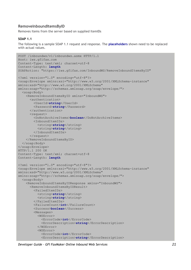## <span id="page-20-0"></span>**RemoveInboundItemsByID**

Removes Items from the server based on supplied ItemIDs

#### **SOAP 1.1**

The following is a sample SOAP 1.1 request and response. The **placeholders** shown need to be replaced with actual values.

```
POST /inboundws/v1/inboundws.asmx HTTP/1.1
Host: iws.gfifax.com
Content-Type: text/xml; charset=utf-8
Content-Length: length
SOAPAction: "https://iws.gfifax.com/InboundWS/RemoveInboundItemsByID"
<?xml version="1.0" encoding="utf-8"?>
<soap:Envelope xmlns:xsi="http://www.w3.org/2001/XMLSchema-instance" 
xmlns:xsd="http://www.w3.org/2001/XMLSchema" 
xmlns:soap="http://schemas.xmlsoap.org/soap/envelope/">
   <soap:Body>
     <RemoveInboundItemsByID xmlns="InboundWS">
       <authentication>
         <UserId>string</UserId>
         <Password>string</Password>
       </authentication>
       <request>
         <DoNotArchiveItems>boolean</DoNotArchiveItems>
         <InboundItemIDs>
           <string>string</string>
          <string>string</string>
         </InboundItemIDs>
      \langlerequest>
     </RemoveInboundItemsByID>
   </soap:Body>
</soap:Envelope>
HTTP/1.1 200 OK
Content-Type: text/xml; charset=utf-8
Content-Length: length
<?xml version="1.0" encoding="utf-8"?>
<soap:Envelope xmlns:xsi="http://www.w3.org/2001/XMLSchema-instance" 
xmlns:xsd="http://www.w3.org/2001/XMLSchema" 
xmlns:soap="http://schemas.xmlsoap.org/soap/envelope/">
   <soap:Body>
     <RemoveInboundItemsByIDResponse xmlns="InboundWS">
       <RemoveInboundItemsByIDResult>
         <FailedItemIDs>
           <string>string</string>
          <string>string</string>
         </FailedItemIDs>
         <FailureCount>int</FailureCount>
         <Success>boolean</Success>
         <Messages>
           <WSError>
             <ErrorCode>int</ErrorCode>
             <ErrorDescription>string</ErrorDescription>
           </WSError>
           <WSError>
             <ErrorCode>int</ErrorCode>
             <ErrorDescription>string</ErrorDescription>
```
*Developer Guide – GFI FaxMaker Online Inbound Web Services 21*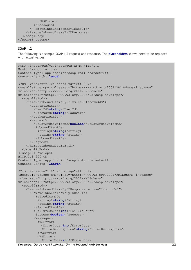```
 </WSError>
         </Messages>
       </RemoveInboundItemsByIDResult>
     </RemoveInboundItemsByIDResponse>
   </soap:Body>
</soap:Envelope>
```
### **SOAP 1.2**

The following is a sample SOAP 1.2 request and response. The **placeholders** shown need to be replaced with actual values.

```
POST /inboundws/v1/inboundws.asmx HTTP/1.1
Host: iws.gfifax.com
Content-Type: application/soap+xml; charset=utf-8
Content-Length: length
<?xml version="1.0" encoding="utf-8"?>
<soap12:Envelope xmlns:xsi="http://www.w3.org/2001/XMLSchema-instance" 
xmlns:xsd="http://www.w3.org/2001/XMLSchema" 
xmlns:soap12="http://www.w3.org/2003/05/soap-envelope">
   <soap12:Body>
     <RemoveInboundItemsByID xmlns="InboundWS">
       <authentication>
         <UserId>string</UserId>
         <Password>string</Password>
       </authentication>
       <request>
         <DoNotArchiveItems>boolean</DoNotArchiveItems>
         <InboundItemIDs>
          <string>string</string>
          <string>string</string>
         </InboundItemIDs>
      </request>
     </RemoveInboundItemsByID>
   </soap12:Body>
</soap12:Envelope>
HTTP/1.1 200 OK
Content-Type: application/soap+xml; charset=utf-8
Content-Length: length
<?xml version="1.0" encoding="utf-8"?>
<soap12:Envelope xmlns:xsi="http://www.w3.org/2001/XMLSchema-instance" 
xmlns:xsd="http://www.w3.org/2001/XMLSchema" 
xmlns:soap12="http://www.w3.org/2003/05/soap-envelope">
   <soap12:Body>
     <RemoveInboundItemsByIDResponse xmlns="InboundWS">
       <RemoveInboundItemsByIDResult>
         <FailedItemIDs>
          <string>string</string>
          <string>string</string>
         </FailedItemIDs>
         <FailureCount>int</FailureCount>
         <Success>boolean</Success>
         <Messages>
           <WSError>
             <ErrorCode>int</ErrorCode>
             <ErrorDescription>string</ErrorDescription>
           </WSError>
           <WSError>
             <ErrorCode>int</ErrorCode>
```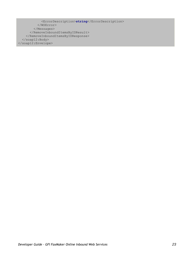```
 <ErrorDescription>string</ErrorDescription>
           </WSError>
         </Messages>
       </RemoveInboundItemsByIDResult>
     </RemoveInboundItemsByIDResponse>
  \langle/soap12:Body>
</soap12:Envelope>
```